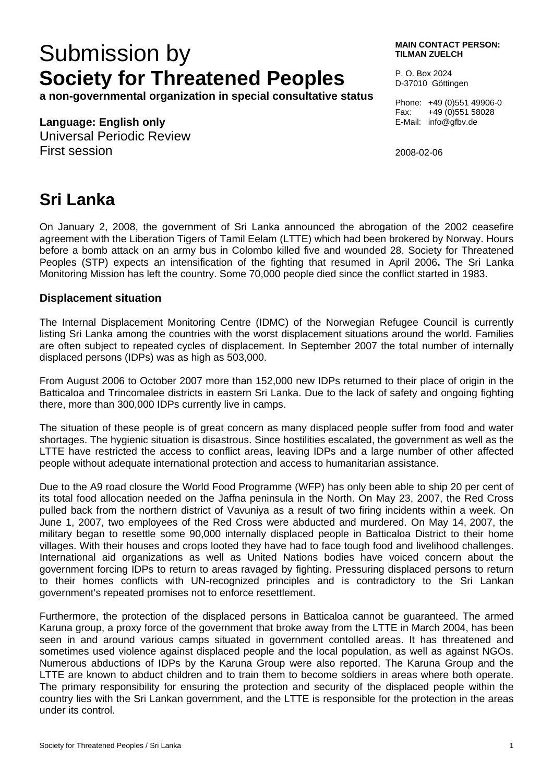# Submission by **MAIN CONTACT PERSON: Society for Threatened Peoples**

**a non-governmental organization in special consultative status** 

#### **Language: English only**

Universal Periodic Review First session

**TILMAN ZUELCH** 

P. O. Box 2024 D-37010 Göttingen

Phone: +49 (0)551 49906-0 Fax: +49 (0)551 58028 E-Mail: info@gfbv.de

2008-02-06

## **Sri Lanka**

On January 2, 2008, the government of Sri Lanka announced the abrogation of the 2002 ceasefire agreement with the Liberation Tigers of Tamil Eelam (LTTE) which had been brokered by Norway. Hours before a bomb attack on an army bus in Colombo killed five and wounded 28. Society for Threatened Peoples (STP) expects an intensification of the fighting that resumed in April 2006**.** The Sri Lanka Monitoring Mission has left the country. Some 70,000 people died since the conflict started in 1983.

#### **Displacement situation**

The Internal Displacement Monitoring Centre (IDMC) of the Norwegian Refugee Council is currently listing Sri Lanka among the countries with the worst displacement situations around the world. Families are often subject to repeated cycles of displacement. In September 2007 the total number of internally displaced persons (IDPs) was as high as 503,000.

From August 2006 to October 2007 more than 152,000 new IDPs returned to their place of origin in the Batticaloa and Trincomalee districts in eastern Sri Lanka. Due to the lack of safety and ongoing fighting there, more than 300,000 IDPs currently live in camps.

The situation of these people is of great concern as many displaced people suffer from food and water shortages. The hygienic situation is disastrous. Since hostilities escalated, the government as well as the LTTE have restricted the access to conflict areas, leaving IDPs and a large number of other affected people without adequate international protection and access to humanitarian assistance.

Due to the A9 road closure the World Food Programme (WFP) has only been able to ship 20 per cent of its total food allocation needed on the Jaffna peninsula in the North. On May 23, 2007, the Red Cross pulled back from the northern district of Vavuniya as a result of two firing incidents within a week. On June 1, 2007, two employees of the Red Cross were abducted and murdered. On May 14, 2007, the military began to resettle some 90,000 internally displaced people in Batticaloa District to their home villages. With their houses and crops looted they have had to face tough food and livelihood challenges. International aid organizations as well as United Nations bodies have voiced concern about the government forcing IDPs to return to areas ravaged by fighting. Pressuring displaced persons to return to their homes conflicts with UN-recognized principles and is contradictory to the Sri Lankan government's repeated promises not to enforce resettlement.

Furthermore, the protection of the displaced persons in Batticaloa cannot be guaranteed. The armed Karuna group, a proxy force of the government that broke away from the LTTE in March 2004, has been seen in and around various camps situated in government contolled areas. It has threatened and sometimes used violence against displaced people and the local population, as well as against NGOs. Numerous abductions of IDPs by the Karuna Group were also reported. The Karuna Group and the LTTE are known to abduct children and to train them to become soldiers in areas where both operate. The primary responsibility for ensuring the protection and security of the displaced people within the country lies with the Sri Lankan government, and the LTTE is responsible for the protection in the areas under its control.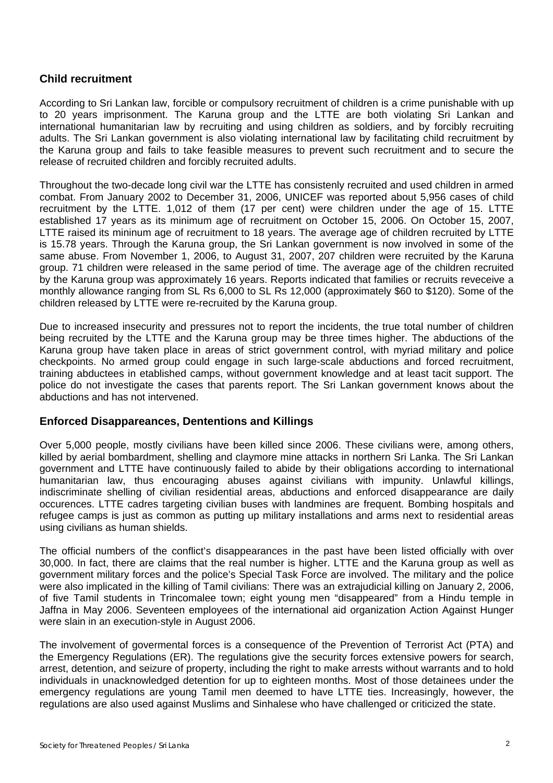### **Child recruitment**

According to Sri Lankan law, forcible or compulsory recruitment of children is a crime punishable with up to 20 years imprisonment. The Karuna group and the LTTE are both violating Sri Lankan and international humanitarian law by recruiting and using children as soldiers, and by forcibly recruiting adults. The Sri Lankan government is also violating international law by facilitating child recruitment by the Karuna group and fails to take feasible measures to prevent such recruitment and to secure the release of recruited children and forcibly recruited adults.

Throughout the two-decade long civil war the LTTE has consistenly recruited and used children in armed combat. From January 2002 to December 31, 2006, UNICEF was reported about 5,956 cases of child recruitment by the LTTE. 1,012 of them (17 per cent) were children under the age of 15. LTTE established 17 years as its minimum age of recruitment on October 15, 2006. On October 15, 2007, LTTE raised its mininum age of recruitment to 18 years. The average age of children recruited by LTTE is 15.78 years. Through the Karuna group, the Sri Lankan government is now involved in some of the same abuse. From November 1, 2006, to August 31, 2007, 207 children were recruited by the Karuna group. 71 children were released in the same period of time. The average age of the children recruited by the Karuna group was approximately 16 years. Reports indicated that families or recruits reveceive a monthly allowance ranging from SL Rs 6,000 to SL Rs 12,000 (approximately \$60 to \$120). Some of the children released by LTTE were re-recruited by the Karuna group.

Due to increased insecurity and pressures not to report the incidents, the true total number of children being recruited by the LTTE and the Karuna group may be three times higher. The abductions of the Karuna group have taken place in areas of strict government control, with myriad military and police checkpoints. No armed group could engage in such large-scale abductions and forced recruitment, training abductees in etablished camps, without government knowledge and at least tacit support. The police do not investigate the cases that parents report. The Sri Lankan government knows about the abductions and has not intervened.

#### **Enforced Disappareances, Dententions and Killings**

Over 5,000 people, mostly civilians have been killed since 2006. These civilians were, among others, killed by aerial bombardment, shelling and claymore mine attacks in northern Sri Lanka. The Sri Lankan government and LTTE have continuously failed to abide by their obligations according to international humanitarian law, thus encouraging abuses against civilians with impunity. Unlawful killings, indiscriminate shelling of civilian residential areas, abductions and enforced disappearance are daily occurences. LTTE cadres targeting civilian buses with landmines are frequent. Bombing hospitals and refugee camps is just as common as putting up military installations and arms next to residential areas using civilians as human shields.

The official numbers of the conflict's disappearances in the past have been listed officially with over 30,000. In fact, there are claims that the real number is higher. LTTE and the Karuna group as well as government military forces and the police's Special Task Force are involved. The military and the police were also implicated in the killing of Tamil civilians: There was an extrajudicial killing on January 2, 2006, of five Tamil students in Trincomalee town; eight young men "disappeared" from a Hindu temple in Jaffna in May 2006. Seventeen employees of the international aid organization Action Against Hunger were slain in an execution-style in August 2006.

The involvement of govermental forces is a consequence of the Prevention of Terrorist Act (PTA) and the Emergency Regulations (ER). The regulations give the security forces extensive powers for search, arrest, detention, and seizure of property, including the right to make arrests without warrants and to hold individuals in unacknowledged detention for up to eighteen months. Most of those detainees under the emergency regulations are young Tamil men deemed to have LTTE ties. Increasingly, however, the regulations are also used against Muslims and Sinhalese who have challenged or criticized the state.